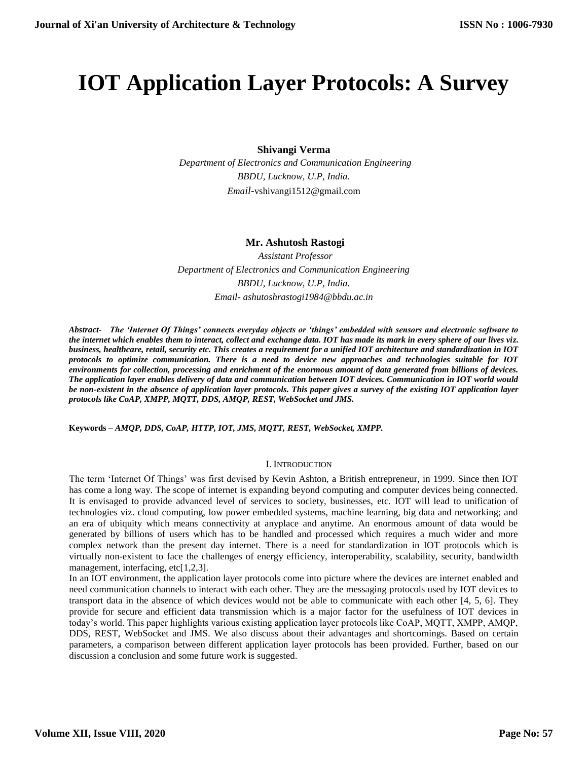# **IOT Application Layer Protocols: A Survey**

**Shivangi Verma**

 *Department of Electronics and Communication Engineering BBDU, Lucknow, U.P, India. Email-*[vshivangi1512@gmail.com](mailto:Email-vshivangi1512@gmail.com)

# **Mr. Ashutosh Rastogi**

 *Assistant Professor Department of Electronics and Communication Engineering BBDU, Lucknow, U.P, India. Email- [ashutoshrastogi1984@bbdu.ac.in](mailto:Email-%20ashutoshrastogi1984@bbdu.ac.in)*

*Abstract- The 'Internet Of Things' connects everyday objects or 'things' embedded with sensors and electronic software to the internet which enables them to interact, collect and exchange data. IOT has made its mark in every sphere of our lives viz. business, healthcare, retail, security etc. This creates a requirement for a unified IOT architecture and standardization in IOT protocols to optimize communication. There is a need to device new approaches and technologies suitable for IOT environments for collection, processing and enrichment of the enormous amount of data generated from billions of devices. The application layer enables delivery of data and communication between IOT devices. Communication in IOT world would be non-existent in the absence of application layer protocols. This paper gives a survey of the existing IOT application layer protocols like CoAP, XMPP, MQTT, DDS, AMQP, REST, WebSocket and JMS.* 

**Keywords –** *AMQP, DDS, CoAP, HTTP, IOT, JMS, MQTT, REST, WebSocket, XMPP.*

#### I. INTRODUCTION

The term 'Internet Of Things' was first devised by Kevin Ashton, a British entrepreneur, in 1999. Since then IOT has come a long way. The scope of internet is expanding beyond computing and computer devices being connected. It is envisaged to provide advanced level of services to society, businesses, etc. IOT will lead to unification of technologies viz. cloud computing, low power embedded systems, machine learning, big data and networking; and an era of ubiquity which means connectivity at anyplace and anytime. An enormous amount of data would be generated by billions of users which has to be handled and processed which requires a much wider and more complex network than the present day internet. There is a need for standardization in IOT protocols which is virtually non-existent to face the challenges of energy efficiency, interoperability, scalability, security, bandwidth management, interfacing, etc[1,2,3].

In an IOT environment, the application layer protocols come into picture where the devices are internet enabled and need communication channels to interact with each other. They are the messaging protocols used by IOT devices to transport data in the absence of which devices would not be able to communicate with each other [4, 5, 6]. They provide for secure and efficient data transmission which is a major factor for the usefulness of IOT devices in today's world. This paper highlights various existing application layer protocols like CoAP, MQTT, XMPP, AMQP, DDS, REST, WebSocket and JMS. We also discuss about their advantages and shortcomings. Based on certain parameters, a comparison between different application layer protocols has been provided. Further, based on our discussion a conclusion and some future work is suggested.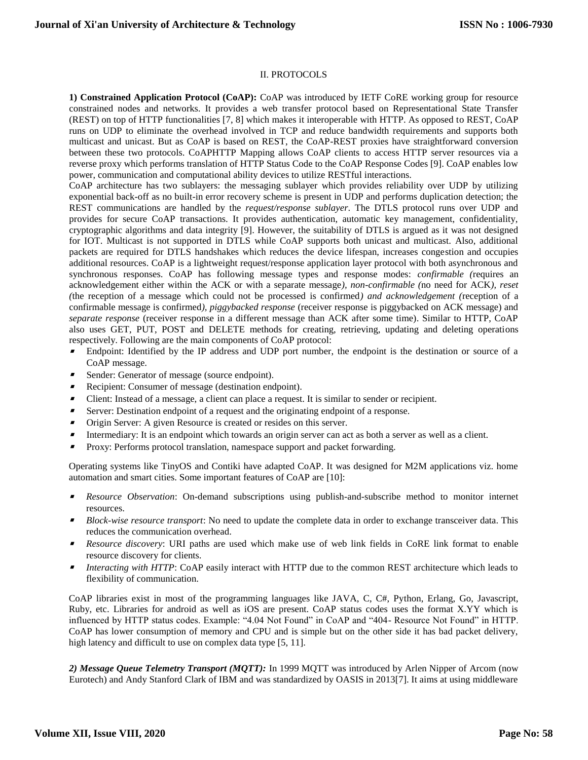## II. PROTOCOLS

**1) Constrained Application Protocol (CoAP):** CoAP was introduced by IETF CoRE working group for resource constrained nodes and networks. It provides a web transfer protocol based on Representational State Transfer (REST) on top of HTTP functionalities [7, 8] which makes it interoperable with HTTP. As opposed to REST, CoAP runs on UDP to eliminate the overhead involved in TCP and reduce bandwidth requirements and supports both multicast and unicast. But as CoAP is based on REST, the CoAP-REST proxies have straightforward conversion between these two protocols. CoAPHTTP Mapping allows CoAP clients to access HTTP server resources via a reverse proxy which performs translation of HTTP Status Code to the CoAP Response Codes [9]. CoAP enables low power, communication and computational ability devices to utilize RESTful interactions.

CoAP architecture has two sublayers: the messaging sublayer which provides reliability over UDP by utilizing exponential back-off as no built-in error recovery scheme is present in UDP and performs duplication detection; the REST communications are handled by the *request/response sublayer*. The DTLS protocol runs over UDP and provides for secure CoAP transactions. It provides authentication, automatic key management, confidentiality, cryptographic algorithms and data integrity [9]. However, the suitability of DTLS is argued as it was not designed for IOT. Multicast is not supported in DTLS while CoAP supports both unicast and multicast. Also, additional packets are required for DTLS handshakes which reduces the device lifespan, increases congestion and occupies additional resources. CoAP is a lightweight request/response application layer protocol with both asynchronous and synchronous responses. CoAP has following message types and response modes: *confirmable (*requires an acknowledgement either within the ACK or with a separate message*), non-confirmable (*no need for ACK*), reset (*the reception of a message which could not be processed is confirmed*) and acknowledgement (*reception of a confirmable message is confirmed*), piggybacked response* (receiver response is piggybacked on ACK message) and *separate response* (receiver response in a different message than ACK after some time). Similar to HTTP, CoAP also uses GET, PUT, POST and DELETE methods for creating, retrieving, updating and deleting operations respectively. Following are the main components of CoAP protocol:

- $\blacksquare$  Endpoint: Identified by the IP address and UDP port number, the endpoint is the destination or source of a CoAP message.
- $\blacksquare$ Sender: Generator of message (source endpoint).
- Recipient: Consumer of message (destination endpoint).
- $\blacksquare$ Client: Instead of a message, a client can place a request. It is similar to sender or recipient.
- $\blacksquare$ Server: Destination endpoint of a request and the originating endpoint of a response.
- $\blacksquare$ Origin Server: A given Resource is created or resides on this server.
- $\blacksquare$ Intermediary: It is an endpoint which towards an origin server can act as both a server as well as a client.
- $\blacksquare$ Proxy: Performs protocol translation, namespace support and packet forwarding.

Operating systems like TinyOS and Contiki have adapted CoAP. It was designed for M2M applications viz. home automation and smart cities. Some important features of CoAP are [10]:

- s *Resource Observation*: On-demand subscriptions using publish-and-subscribe method to monitor internet resources.
- **Block-wise resource transport:** No need to update the complete data in order to exchange transceiver data. This reduces the communication overhead.
- *Resource discovery*: URI paths are used which make use of web link fields in CoRE link format to enable resource discovery for clients.
- Е *Interacting with HTTP*: CoAP easily interact with HTTP due to the common REST architecture which leads to flexibility of communication.

CoAP libraries exist in most of the programming languages like JAVA, C, C#, Python, Erlang, Go, Javascript, Ruby, etc. Libraries for android as well as iOS are present. CoAP status codes uses the format X.YY which is influenced by HTTP status codes. Example: "4.04 Not Found" in CoAP and "404- Resource Not Found" in HTTP. CoAP has lower consumption of memory and CPU and is simple but on the other side it has bad packet delivery, high latency and difficult to use on complex data type [5, 11].

*2) Message Queue Telemetry Transport (MQTT):* In 1999 MQTT was introduced by Arlen Nipper of Arcom (now Eurotech) and Andy Stanford Clark of IBM and was standardized by OASIS in 2013[7]. It aims at using middleware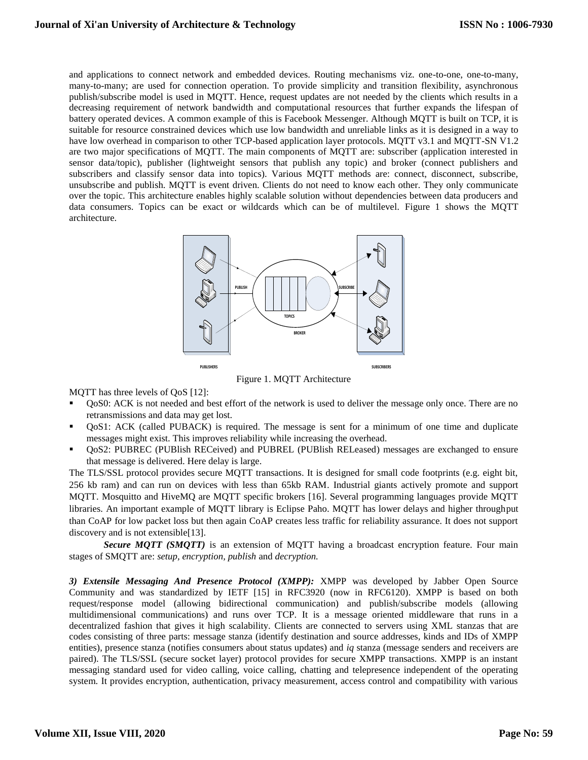and applications to connect network and embedded devices. Routing mechanisms viz. one-to-one, one-to-many, many-to-many; are used for connection operation. To provide simplicity and transition flexibility, asynchronous publish/subscribe model is used in MQTT. Hence, request updates are not needed by the clients which results in a decreasing requirement of network bandwidth and computational resources that further expands the lifespan of battery operated devices. A common example of this is Facebook Messenger. Although MQTT is built on TCP, it is suitable for resource constrained devices which use low bandwidth and unreliable links as it is designed in a way to have low overhead in comparison to other TCP-based application layer protocols. MQTT v3.1 and MQTT-SN V1.2 are two major specifications of MQTT. The main components of MQTT are: subscriber (application interested in sensor data/topic), publisher (lightweight sensors that publish any topic) and broker (connect publishers and subscribers and classify sensor data into topics). Various MQTT methods are: connect, disconnect, subscribe, unsubscribe and publish. MQTT is event driven. Clients do not need to know each other. They only communicate over the topic. This architecture enables highly scalable solution without dependencies between data producers and data consumers. Topics can be exact or wildcards which can be of multilevel. Figure 1 shows the MQTT architecture.



Figure 1. MQTT Architecture

MQTT has three levels of QoS [12]:

- QoS0: ACK is not needed and best effort of the network is used to deliver the message only once. There are no retransmissions and data may get lost.
- QoS1: ACK (called PUBACK) is required. The message is sent for a minimum of one time and duplicate messages might exist. This improves reliability while increasing the overhead.
- QoS2: PUBREC (PUBlish RECeived) and PUBREL (PUBlish RELeased) messages are exchanged to ensure that message is delivered. Here delay is large.

The TLS/SSL protocol provides secure MQTT transactions. It is designed for small code footprints (e.g. eight bit, 256 kb ram) and can run on devices with less than 65kb RAM. Industrial giants actively promote and support MQTT. Mosquitto and HiveMQ are MQTT specific brokers [16]. Several programming languages provide MQTT libraries. An important example of MQTT library is Eclipse Paho. MQTT has lower delays and higher throughput than CoAP for low packet loss but then again CoAP creates less traffic for reliability assurance. It does not support discovery and is not extensible[13].

**Secure MOTT (SMOTT)** is an extension of MQTT having a broadcast encryption feature. Four main stages of SMQTT are: *setup, encryption, publish* and *decryption.*

*3) Extensile Messaging And Presence Protocol (XMPP):* XMPP was developed by Jabber Open Source Community and was standardized by IETF [15] in RFC3920 (now in RFC6120). XMPP is based on both request/response model (allowing bidirectional communication) and publish/subscribe models (allowing multidimensional communications) and runs over TCP. It is a message oriented middleware that runs in a decentralized fashion that gives it high scalability. Clients are connected to servers using XML stanzas that are codes consisting of three parts: message stanza (identify destination and source addresses, kinds and IDs of XMPP entities), presence stanza (notifies consumers about status updates) and *iq* stanza (message senders and receivers are paired). The TLS/SSL (secure socket layer) protocol provides for secure XMPP transactions. XMPP is an instant messaging standard used for video calling, voice calling, chatting and telepresence independent of the operating system. It provides encryption, authentication, privacy measurement, access control and compatibility with various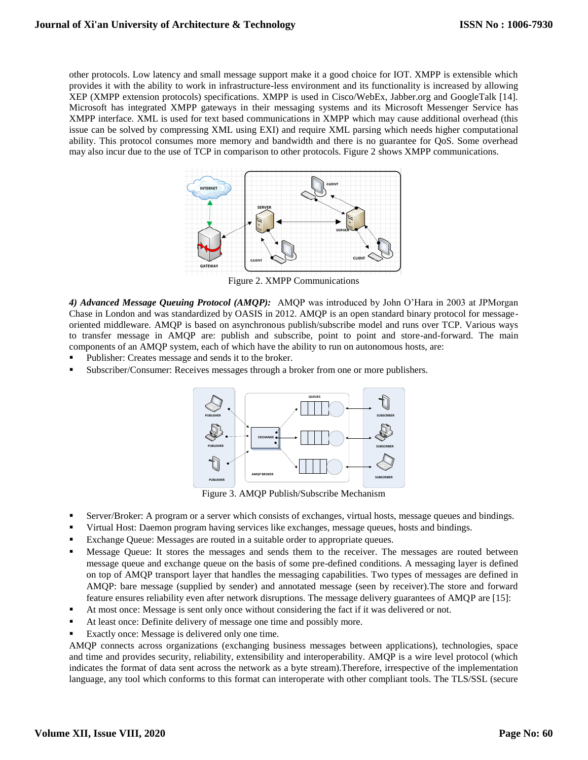other protocols. Low latency and small message support make it a good choice for IOT. XMPP is extensible which provides it with the ability to work in infrastructure-less environment and its functionality is increased by allowing XEP (XMPP extension protocols) specifications. XMPP is used in Cisco/WebEx, Jabber.org and GoogleTalk [14]. Microsoft has integrated XMPP gateways in their messaging systems and its Microsoft Messenger Service has XMPP interface. XML is used for text based communications in XMPP which may cause additional overhead (this issue can be solved by compressing XML using EXI) and require XML parsing which needs higher computational ability. This protocol consumes more memory and bandwidth and there is no guarantee for QoS. Some overhead may also incur due to the use of TCP in comparison to other protocols. Figure 2 shows XMPP communications.



Figure 2. XMPP Communications

*4) Advanced Message Queuing Protocol (AMQP):* AMQP was introduced by John O'Hara in 2003 at JPMorgan Chase in London and was standardized by OASIS in 2012. AMQP is an open standard binary protocol for messageoriented middleware. AMQP is based on asynchronous publish/subscribe model and runs over TCP. Various ways to transfer message in AMQP are: publish and subscribe, point to point and store-and-forward. The main components of an AMQP system, each of which have the ability to run on autonomous hosts, are:

- Publisher: Creates message and sends it to the broker.
- Subscriber/Consumer: Receives messages through a broker from one or more publishers.



Figure 3. AMQP Publish/Subscribe Mechanism

- Server/Broker: A program or a server which consists of exchanges, virtual hosts, message queues and bindings.
- Virtual Host: Daemon program having services like exchanges, message queues, hosts and bindings.
- Exchange Queue: Messages are routed in a suitable order to appropriate queues.
- Message Queue: It stores the messages and sends them to the receiver. The messages are routed between message queue and exchange queue on the basis of some pre-defined conditions. A messaging layer is defined on top of AMQP transport layer that handles the messaging capabilities. Two types of messages are defined in AMQP: bare message (supplied by sender) and annotated message (seen by receiver).The store and forward feature ensures reliability even after network disruptions. The message delivery guarantees of AMQP are [15]:
- At most once: Message is sent only once without considering the fact if it was delivered or not.
- At least once: Definite delivery of message one time and possibly more.
- Exactly once: Message is delivered only one time.

AMQP connects across organizations (exchanging business messages between applications), technologies, space and time and provides security, reliability, extensibility and interoperability. AMQP is a wire level protocol (which indicates the format of data sent across the network as a byte stream).Therefore, irrespective of the implementation language, any tool which conforms to this format can interoperate with other compliant tools. The TLS/SSL (secure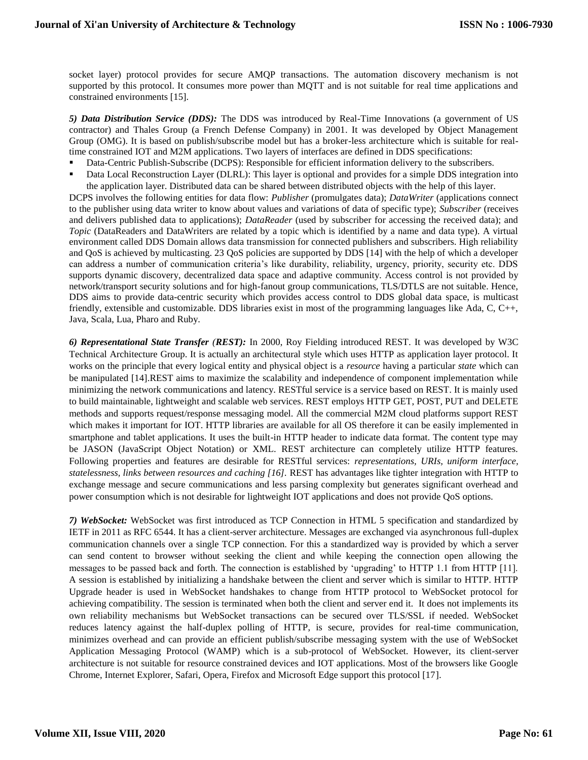socket layer) protocol provides for secure AMQP transactions. The automation discovery mechanism is not supported by this protocol. It consumes more power than MQTT and is not suitable for real time applications and constrained environments [15].

*5) Data Distribution Service (DDS):* The DDS was introduced by Real-Time Innovations (a government of US contractor) and Thales Group (a French Defense Company) in 2001. It was developed by Object Management Group (OMG). It is based on publish/subscribe model but has a broker-less architecture which is suitable for realtime constrained IOT and M2M applications. Two layers of interfaces are defined in DDS specifications:

- Data-Centric Publish-Subscribe (DCPS): Responsible for efficient information delivery to the subscribers.
- Data Local Reconstruction Layer (DLRL): This layer is optional and provides for a simple DDS integration into the application layer. Distributed data can be shared between distributed objects with the help of this layer.

DCPS involves the following entities for data flow: *Publisher* (promulgates data); *DataWriter* (applications connect to the publisher using data writer to know about values and variations of data of specific type); *Subscriber* (receives and delivers published data to applications); *DataReader* (used by subscriber for accessing the received data); and *Topic* (DataReaders and DataWriters are related by a topic which is identified by a name and data type). A virtual environment called DDS Domain allows data transmission for connected publishers and subscribers. High reliability and QoS is achieved by multicasting. 23 QoS policies are supported by DDS [14] with the help of which a developer can address a number of communication criteria's like durability, reliability, urgency, priority, security etc. DDS supports dynamic discovery, decentralized data space and adaptive community. Access control is not provided by network/transport security solutions and for high-fanout group communications, TLS/DTLS are not suitable. Hence, DDS aims to provide data-centric security which provides access control to DDS global data space, is multicast friendly, extensible and customizable. DDS libraries exist in most of the programming languages like Ada, C, C++, Java, Scala, Lua, Pharo and Ruby.

*6) Representational State Transfer (REST):* In 2000, Roy Fielding introduced REST. It was developed by W3C Technical Architecture Group. It is actually an architectural style which uses HTTP as application layer protocol. It works on the principle that every logical entity and physical object is a *resource* having a particular *state* which can be manipulated [14].REST aims to maximize the scalability and independence of component implementation while minimizing the network communications and latency. RESTful service is a service based on REST. It is mainly used to build maintainable, lightweight and scalable web services. REST employs HTTP GET, POST, PUT and DELETE methods and supports request/response messaging model. All the commercial M2M cloud platforms support REST which makes it important for IOT. HTTP libraries are available for all OS therefore it can be easily implemented in smartphone and tablet applications. It uses the built-in HTTP header to indicate data format. The content type may be JASON (JavaScript Object Notation) or XML. REST architecture can completely utilize HTTP features. Following properties and features are desirable for RESTful services: *representations, URIs, uniform interface, statelessness, links between resources and caching [16].* REST has advantages like tighter integration with HTTP to exchange message and secure communications and less parsing complexity but generates significant overhead and power consumption which is not desirable for lightweight IOT applications and does not provide QoS options.

*7) WebSocket:* WebSocket was first introduced as TCP Connection in HTML 5 specification and standardized by IETF in 2011 as RFC 6544. It has a client-server architecture. Messages are exchanged via asynchronous full-duplex communication channels over a single TCP connection. For this a standardized way is provided by which a server can send content to browser without seeking the client and while keeping the connection open allowing the messages to be passed back and forth. The connection is established by 'upgrading' to HTTP 1.1 from HTTP [11]. A session is established by initializing a handshake between the client and server which is similar to HTTP. HTTP Upgrade header is used in WebSocket handshakes to change from HTTP protocol to WebSocket protocol for achieving compatibility. The session is terminated when both the client and server end it. It does not implements its own reliability mechanisms but WebSocket transactions can be secured over TLS/SSL if needed. WebSocket reduces latency against the half-duplex polling of HTTP, is secure, provides for real-time communication, minimizes overhead and can provide an efficient publish/subscribe messaging system with the use of WebSocket Application Messaging Protocol (WAMP) which is a sub-protocol of WebSocket. However, its client-server architecture is not suitable for resource constrained devices and IOT applications. Most of the browsers like Google Chrome, Internet Explorer, Safari, Opera, Firefox and Microsoft Edge support this protocol [17].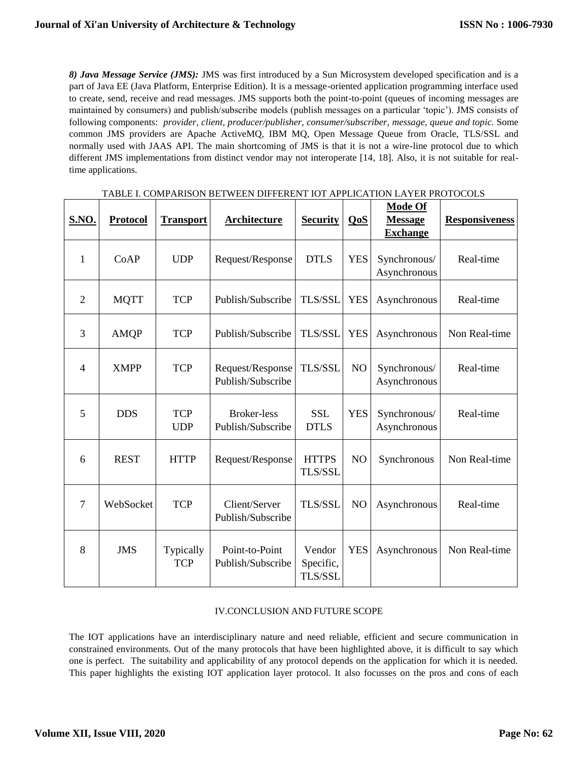*8) Java Message Service (JMS):* JMS was first introduced by a Sun Microsystem developed specification and is a part of Java EE (Java Platform, Enterprise Edition). It is a message-oriented application programming interface used to create, send, receive and read messages. JMS supports both the point-to-point (queues of incoming messages are maintained by consumers) and publish/subscribe models (publish messages on a particular 'topic'). JMS consists of following components: *provider, client, producer/publisher, consumer/subscriber, message, queue and topic.* Some common JMS providers are Apache ActiveMQ, IBM MQ, Open Message Queue from Oracle, TLS/SSL and normally used with JAAS API. The main shortcoming of JMS is that it is not a wire-line protocol due to which different JMS implementations from distinct vendor may not interoperate [14, 18]. Also, it is not suitable for realtime applications.

| <b>S.NO.</b>   | <b>Protocol</b> | <b>Transport</b>         | Architecture                            | <b>Security</b>                | QoS            | <b>Mode Of</b><br><b>Message</b><br><b>Exchange</b> | <b>Responsiveness</b> |
|----------------|-----------------|--------------------------|-----------------------------------------|--------------------------------|----------------|-----------------------------------------------------|-----------------------|
| 1              | CoAP            | <b>UDP</b>               | Request/Response                        | <b>DTLS</b>                    | <b>YES</b>     | Synchronous/<br>Asynchronous                        | Real-time             |
| 2              | <b>MQTT</b>     | <b>TCP</b>               | Publish/Subscribe                       | <b>TLS/SSL</b>                 | <b>YES</b>     | Asynchronous                                        | Real-time             |
| 3              | <b>AMQP</b>     | <b>TCP</b>               | Publish/Subscribe                       | <b>TLS/SSL</b>                 | <b>YES</b>     | Asynchronous                                        | Non Real-time         |
| $\overline{4}$ | <b>XMPP</b>     | <b>TCP</b>               | Request/Response<br>Publish/Subscribe   | TLS/SSL                        | NO             | Synchronous/<br>Asynchronous                        | Real-time             |
| 5              | <b>DDS</b>      | <b>TCP</b><br><b>UDP</b> | <b>Broker-less</b><br>Publish/Subscribe | <b>SSL</b><br><b>DTLS</b>      | <b>YES</b>     | Synchronous/<br>Asynchronous                        | Real-time             |
| 6              | <b>REST</b>     | <b>HTTP</b>              | Request/Response                        | <b>HTTPS</b><br>TLS/SSL        | N <sub>O</sub> | Synchronous                                         | Non Real-time         |
| $\overline{7}$ | WebSocket       | <b>TCP</b>               | Client/Server<br>Publish/Subscribe      | <b>TLS/SSL</b>                 | NO             | Asynchronous                                        | Real-time             |
| 8              | <b>JMS</b>      | Typically<br><b>TCP</b>  | Point-to-Point<br>Publish/Subscribe     | Vendor<br>Specific,<br>TLS/SSL | <b>YES</b>     | Asynchronous                                        | Non Real-time         |

### TABLE I. COMPARISON BETWEEN DIFFERENT IOT APPLICATION LAYER PROTOCOLS

#### IV.CONCLUSION AND FUTURE SCOPE

The IOT applications have an interdisciplinary nature and need reliable, efficient and secure communication in constrained environments. Out of the many protocols that have been highlighted above, it is difficult to say which one is perfect. The suitability and applicability of any protocol depends on the application for which it is needed. This paper highlights the existing IOT application layer protocol. It also focusses on the pros and cons of each